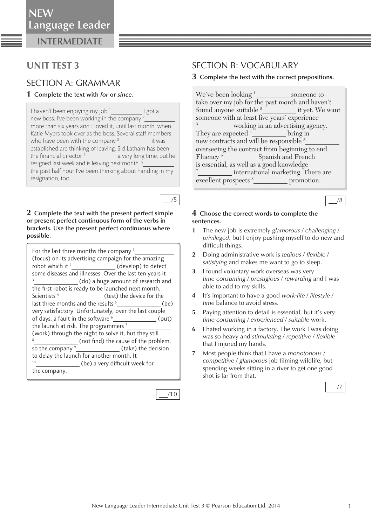**INTERMEDIATE**

## UNIT TEST 3

### SECTION A: GRAMMAR

#### **1 Complete the text with** *for* **or** *since* **.**

I haven't been enjoying my job <sup>1</sup> I got a new boss. I've been working in the company  $2$  more than six years and I loved it, until last month, when Katie Myers took over as the boss. Several staff members who have been with the company <sup>3</sup> it was established are thinking of leaving. Sid Latham has been the financial director  $\frac{4}{2}$  a very long time, but he resigned last week and is leaving next month.<sup>5</sup> the past half hour I've been thinking about handing in my resignation, too.

**2 Complete the text with the present perfect simple or present perfect continuous form of the verbs in brackets. Use the present perfect continuous where possible.** 

 *For the last three months the company 1 (focus) on its advertising campaign for the amazing robot which it 2 (develop) to detect some diseases and illnesses. Over the last ten years it 3 (do) a huge amount of research and*  the first robot is ready to be launched next month. *Scientists 4 (test) the device for the last three months and the results 5 (be) very satisfactory. Unfortunately, over the last couple*  of days, a fault in the software <sup>6</sup>  *(put) the launch at risk. The programmers 7 (work) through the night to solve it, but they still 8 (not fi nd) the cause of the problem, so the company 9 (take) the decision to delay the launch for another month. It 10 (be) a very di cult week for the company.* 

| ۰ |  |
|---|--|
|   |  |

/5

## SECTION B: VOCABULARY

#### **3 Complete the text with the correct prepositions.**

We've been looking  $1$  someone to take over my job for the past month and haven't found anyone suitable 2 it yet. We want someone with at least five years' experience 3 working in an advertising agency. They are expected  $4$  bring in new contracts and will be responsible  $5$  overseeing the contract from beginning to end. Fluency<sup>6</sup> **Spanish and French** is essential, as well as a good knowledge 7 international marketing. There are excellent prospects <sup>8</sup> promotion.



#### **4 Choose the correct words to complete the sentences.**

- **1** The new job is extremely *glamorous* / *challenging* / *privileged,* but I enjoy pushing myself to do new and difficult things.
- **2** Doing administrative work is *tedious* / *fl exible* / *satisfying* and makes me want to go to sleep.
- **3** I found voluntary work overseas was very *time-consuming* / *prestigious* / *rewarding* and I was able to add to my skills.
- **4** It's important to have a good *work-life* / *lifestyle* / *time* balance to avoid stress.
- **5** Paying attention to detail is essential, but it's very *time-consuming* / *experienced* / *suitable* work.
- **6** I hated working in a factory. The work I was doing was so heavy and *stimulating* / *repetitive* / *flexible* that I injured my hands.
- **7** Most people think that I have a *monotonous* / *competitive / glamorous* job filming wildlife, but spending weeks sitting in a river to get one good shot is far from that.